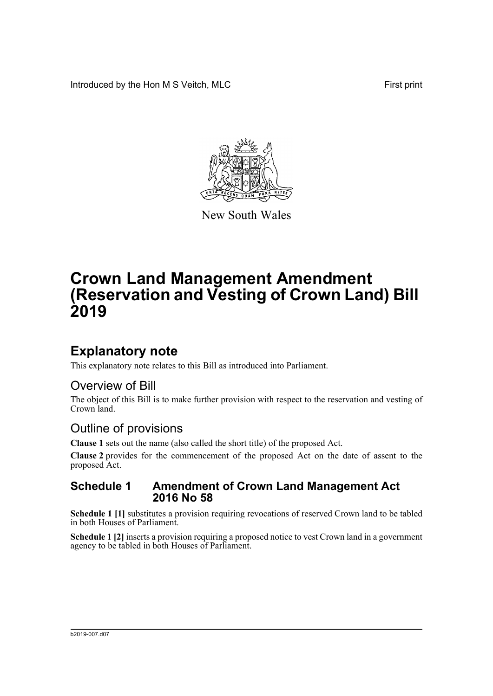Introduced by the Hon M S Veitch, MLC First print



New South Wales

# **Crown Land Management Amendment (Reservation and Vesting of Crown Land) Bill 2019**

## **Explanatory note**

This explanatory note relates to this Bill as introduced into Parliament.

### Overview of Bill

The object of this Bill is to make further provision with respect to the reservation and vesting of Crown land.

### Outline of provisions

**Clause 1** sets out the name (also called the short title) of the proposed Act.

**Clause 2** provides for the commencement of the proposed Act on the date of assent to the proposed Act.

#### **Schedule 1 Amendment of Crown Land Management Act 2016 No 58**

**Schedule 1 [1]** substitutes a provision requiring revocations of reserved Crown land to be tabled in both Houses of Parliament.

**Schedule 1 [2]** inserts a provision requiring a proposed notice to vest Crown land in a government agency to be tabled in both Houses of Parliament.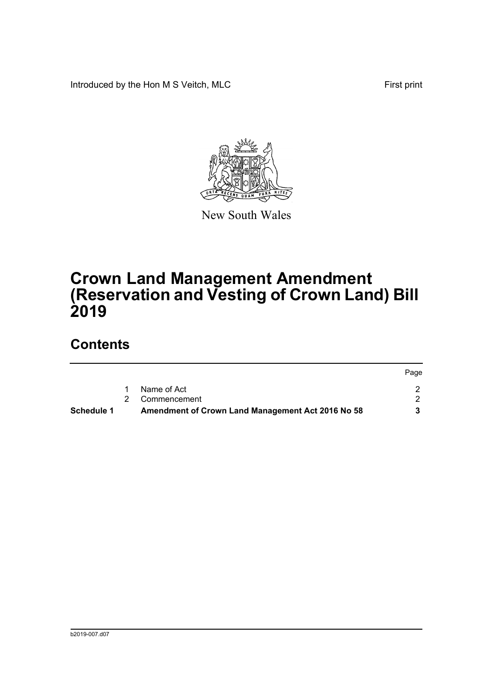Introduced by the Hon M S Veitch, MLC First print



New South Wales

# **Crown Land Management Amendment (Reservation and Vesting of Crown Land) Bill 2019**

## **Contents**

| Schedule 1 | Amendment of Crown Land Management Act 2016 No 58 |      |
|------------|---------------------------------------------------|------|
|            | 2 Commencement                                    |      |
|            | Name of Act                                       |      |
|            |                                                   | Page |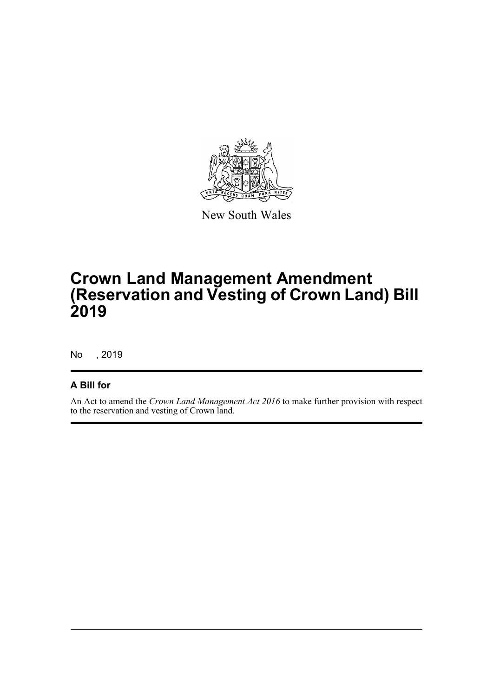

New South Wales

# **Crown Land Management Amendment (Reservation and Vesting of Crown Land) Bill 2019**

No , 2019

#### **A Bill for**

An Act to amend the *Crown Land Management Act 2016* to make further provision with respect to the reservation and vesting of Crown land.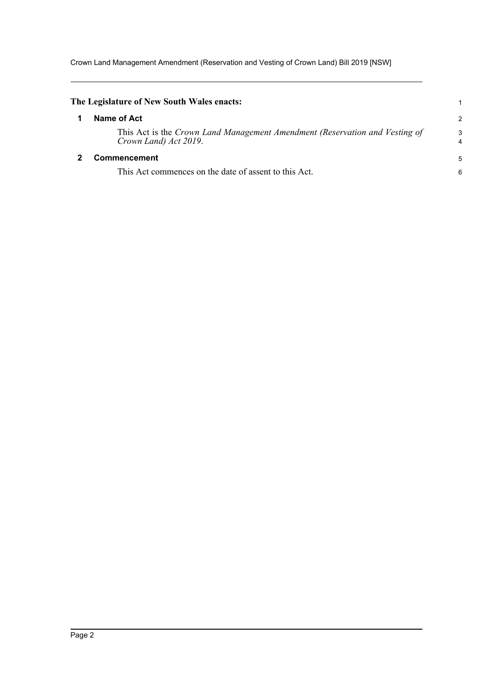Crown Land Management Amendment (Reservation and Vesting of Crown Land) Bill 2019 [NSW]

<span id="page-3-1"></span><span id="page-3-0"></span>

| The Legislature of New South Wales enacts:                                                           |                |
|------------------------------------------------------------------------------------------------------|----------------|
| Name of Act                                                                                          | $\overline{2}$ |
| This Act is the Crown Land Management Amendment (Reservation and Vesting of<br>Crown Land) Act 2019. | 3<br>4         |
| Commencement                                                                                         | 5              |
| This Act commences on the date of assent to this Act.                                                | 6              |
|                                                                                                      |                |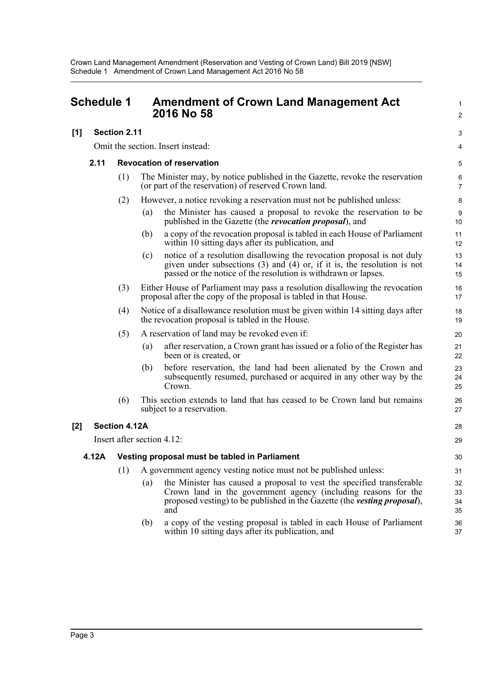<span id="page-4-0"></span>

|       | <b>Schedule 1</b> |                                               |                            | <b>Amendment of Crown Land Management Act</b><br>2016 No 58                                                                                                                                                                | 1<br>$\overline{2}$  |  |
|-------|-------------------|-----------------------------------------------|----------------------------|----------------------------------------------------------------------------------------------------------------------------------------------------------------------------------------------------------------------------|----------------------|--|
| [1]   |                   | Section 2.11                                  |                            |                                                                                                                                                                                                                            | 3                    |  |
|       |                   | Omit the section. Insert instead:             |                            |                                                                                                                                                                                                                            |                      |  |
|       | 2.11              | <b>Revocation of reservation</b>              |                            |                                                                                                                                                                                                                            | 5                    |  |
|       |                   | (1)                                           |                            | The Minister may, by notice published in the Gazette, revoke the reservation<br>(or part of the reservation) of reserved Crown land.                                                                                       | 6<br>$\overline{7}$  |  |
|       |                   | (2)                                           |                            | However, a notice revoking a reservation must not be published unless:                                                                                                                                                     | 8                    |  |
|       |                   |                                               | (a)                        | the Minister has caused a proposal to revoke the reservation to be<br>published in the Gazette (the <i>revocation proposal</i> ), and                                                                                      | 9<br>10              |  |
|       |                   |                                               | (b)                        | a copy of the revocation proposal is tabled in each House of Parliament<br>within 10 sitting days after its publication, and                                                                                               | 11<br>12             |  |
|       |                   |                                               | (c)                        | notice of a resolution disallowing the revocation proposal is not duly<br>given under subsections $(3)$ and $(4)$ or, if it is, the resolution is not<br>passed or the notice of the resolution is withdrawn or lapses.    | 13<br>14<br>15       |  |
|       |                   | (3)                                           |                            | Either House of Parliament may pass a resolution disallowing the revocation<br>proposal after the copy of the proposal is tabled in that House.                                                                            | 16<br>17             |  |
|       |                   | (4)                                           |                            | Notice of a disallowance resolution must be given within 14 sitting days after<br>the revocation proposal is tabled in the House.                                                                                          | 18<br>19             |  |
|       |                   | (5)                                           |                            | A reservation of land may be revoked even if:                                                                                                                                                                              | 20                   |  |
|       |                   |                                               | (a)                        | after reservation, a Crown grant has issued or a folio of the Register has<br>been or is created, or                                                                                                                       | 21<br>22             |  |
|       |                   |                                               | (b)                        | before reservation, the land had been alienated by the Crown and<br>subsequently resumed, purchased or acquired in any other way by the<br>Crown.                                                                          | 23<br>24<br>25       |  |
|       |                   | (6)                                           |                            | This section extends to land that has ceased to be Crown land but remains<br>subject to a reservation.                                                                                                                     | 26<br>27             |  |
| $[2]$ |                   | <b>Section 4.12A</b>                          |                            |                                                                                                                                                                                                                            | 28                   |  |
|       |                   |                                               | Insert after section 4.12: |                                                                                                                                                                                                                            | 29                   |  |
|       | 4.12A             | Vesting proposal must be tabled in Parliament |                            |                                                                                                                                                                                                                            | 30                   |  |
|       |                   | (1)                                           |                            | A government agency vesting notice must not be published unless:                                                                                                                                                           | 31                   |  |
|       |                   |                                               | (a)                        | the Minister has caused a proposal to vest the specified transferable<br>Crown land in the government agency (including reasons for the<br>proposed vesting) to be published in the Gazette (the vesting proposal),<br>and | 32<br>33<br>34<br>35 |  |
|       |                   |                                               | (b)                        | a copy of the vesting proposal is tabled in each House of Parliament<br>within 10 sitting days after its publication, and                                                                                                  | 36<br>37             |  |